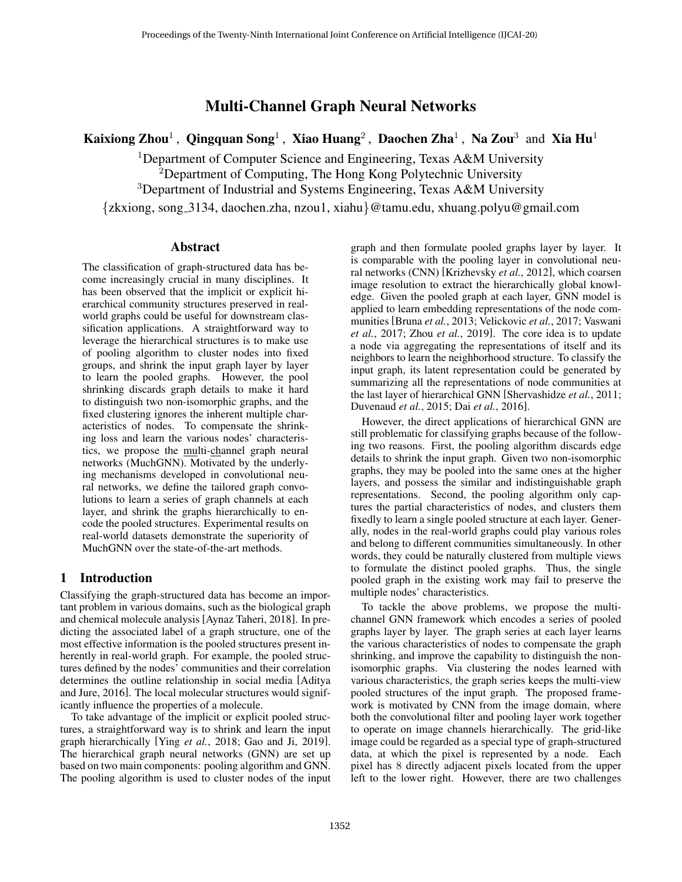# Multi-Channel Graph Neural Networks

Kaixiong Zhou<sup>1</sup>, Qingquan Song<sup>1</sup>, Xiao Huang<sup>2</sup>, Daochen Zha<sup>1</sup>, Na Zou<sup>3</sup> and Xia Hu<sup>1</sup>

<sup>1</sup>Department of Computer Science and Engineering, Texas A&M University <sup>2</sup>Department of Computing, The Hong Kong Polytechnic University

<sup>3</sup>Department of Industrial and Systems Engineering, Texas A&M University

{zkxiong, song 3134, daochen.zha, nzou1, xiahu}@tamu.edu, xhuang.polyu@gmail.com

### Abstract

The classification of graph-structured data has become increasingly crucial in many disciplines. It has been observed that the implicit or explicit hierarchical community structures preserved in realworld graphs could be useful for downstream classification applications. A straightforward way to leverage the hierarchical structures is to make use of pooling algorithm to cluster nodes into fixed groups, and shrink the input graph layer by layer to learn the pooled graphs. However, the pool shrinking discards graph details to make it hard to distinguish two non-isomorphic graphs, and the fixed clustering ignores the inherent multiple characteristics of nodes. To compensate the shrinking loss and learn the various nodes' characteristics, we propose the multi-channel graph neural networks (MuchGNN). Motivated by the underlying mechanisms developed in convolutional neural networks, we define the tailored graph convolutions to learn a series of graph channels at each layer, and shrink the graphs hierarchically to encode the pooled structures. Experimental results on real-world datasets demonstrate the superiority of MuchGNN over the state-of-the-art methods.

# 1 Introduction

Classifying the graph-structured data has become an important problem in various domains, such as the biological graph and chemical molecule analysis [Aynaz Taheri, 2018]. In predicting the associated label of a graph structure, one of the most effective information is the pooled structures present inherently in real-world graph. For example, the pooled structures defined by the nodes' communities and their correlation determines the outline relationship in social media [Aditya and Jure, 2016]. The local molecular structures would significantly influence the properties of a molecule.

To take advantage of the implicit or explicit pooled structures, a straightforward way is to shrink and learn the input graph hierarchically [Ying *et al.*, 2018; Gao and Ji, 2019]. The hierarchical graph neural networks (GNN) are set up based on two main components: pooling algorithm and GNN. The pooling algorithm is used to cluster nodes of the input

graph and then formulate pooled graphs layer by layer. It is comparable with the pooling layer in convolutional neural networks (CNN) [Krizhevsky *et al.*, 2012], which coarsen image resolution to extract the hierarchically global knowledge. Given the pooled graph at each layer, GNN model is applied to learn embedding representations of the node communities [Bruna *et al.*, 2013; Velickovic *et al.*, 2017; Vaswani *et al.*, 2017; Zhou *et al.*, 2019]. The core idea is to update a node via aggregating the representations of itself and its neighbors to learn the neighborhood structure. To classify the input graph, its latent representation could be generated by summarizing all the representations of node communities at the last layer of hierarchical GNN [Shervashidze *et al.*, 2011; Duvenaud *et al.*, 2015; Dai *et al.*, 2016].

However, the direct applications of hierarchical GNN are still problematic for classifying graphs because of the following two reasons. First, the pooling algorithm discards edge details to shrink the input graph. Given two non-isomorphic graphs, they may be pooled into the same ones at the higher layers, and possess the similar and indistinguishable graph representations. Second, the pooling algorithm only captures the partial characteristics of nodes, and clusters them fixedly to learn a single pooled structure at each layer. Generally, nodes in the real-world graphs could play various roles and belong to different communities simultaneously. In other words, they could be naturally clustered from multiple views to formulate the distinct pooled graphs. Thus, the single pooled graph in the existing work may fail to preserve the multiple nodes' characteristics.

To tackle the above problems, we propose the multichannel GNN framework which encodes a series of pooled graphs layer by layer. The graph series at each layer learns the various characteristics of nodes to compensate the graph shrinking, and improve the capability to distinguish the nonisomorphic graphs. Via clustering the nodes learned with various characteristics, the graph series keeps the multi-view pooled structures of the input graph. The proposed framework is motivated by CNN from the image domain, where both the convolutional filter and pooling layer work together to operate on image channels hierarchically. The grid-like image could be regarded as a special type of graph-structured data, at which the pixel is represented by a node. Each pixel has 8 directly adjacent pixels located from the upper left to the lower right. However, there are two challenges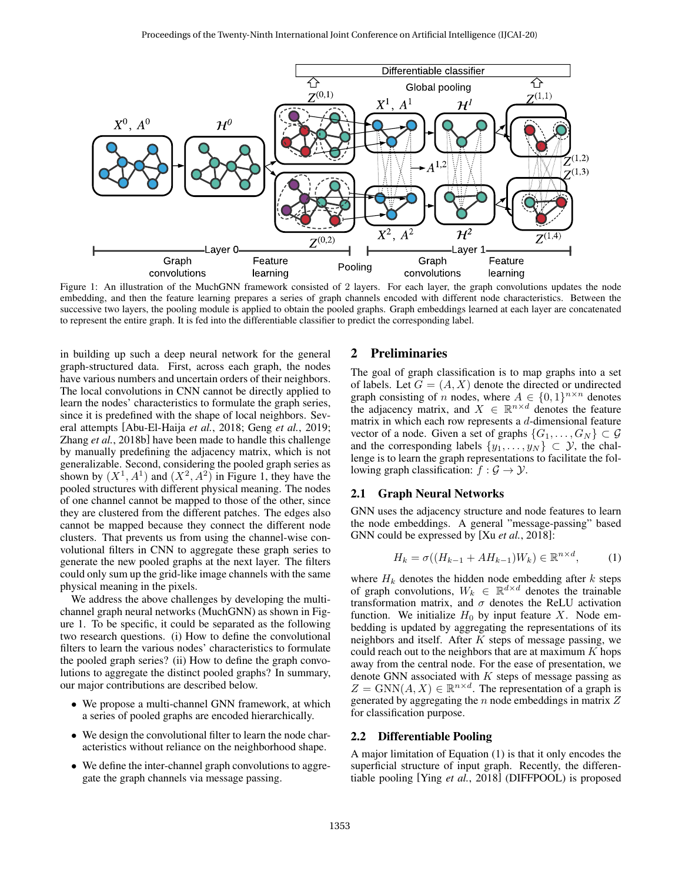

Figure 1: An illustration of the MuchGNN framework consisted of 2 layers. For each layer, the graph convolutions updates the node embedding, and then the feature learning prepares a series of graph channels encoded with different node characteristics. Between the successive two layers, the pooling module is applied to obtain the pooled graphs. Graph embeddings learned at each layer are concatenated to represent the entire graph. It is fed into the differentiable classifier to predict the corresponding label.

in building up such a deep neural network for the general graph-structured data. First, across each graph, the nodes have various numbers and uncertain orders of their neighbors. The local convolutions in CNN cannot be directly applied to learn the nodes' characteristics to formulate the graph series, since it is predefined with the shape of local neighbors. Several attempts [Abu-El-Haija *et al.*, 2018; Geng *et al.*, 2019; Zhang *et al.*, 2018b] have been made to handle this challenge by manually predefining the adjacency matrix, which is not generalizable. Second, considering the pooled graph series as shown by  $(X^1, A^1)$  and  $(X^2, A^2)$  in Figure 1, they have the pooled structures with different physical meaning. The nodes of one channel cannot be mapped to those of the other, since they are clustered from the different patches. The edges also cannot be mapped because they connect the different node clusters. That prevents us from using the channel-wise convolutional filters in CNN to aggregate these graph series to generate the new pooled graphs at the next layer. The filters could only sum up the grid-like image channels with the same physical meaning in the pixels.

We address the above challenges by developing the multichannel graph neural networks (MuchGNN) as shown in Figure 1. To be specific, it could be separated as the following two research questions. (i) How to define the convolutional filters to learn the various nodes' characteristics to formulate the pooled graph series? (ii) How to define the graph convolutions to aggregate the distinct pooled graphs? In summary, our major contributions are described below.

- We propose a multi-channel GNN framework, at which a series of pooled graphs are encoded hierarchically.
- We design the convolutional filter to learn the node characteristics without reliance on the neighborhood shape.
- We define the inter-channel graph convolutions to aggregate the graph channels via message passing.

#### 2 Preliminaries

The goal of graph classification is to map graphs into a set of labels. Let  $G = (A, X)$  denote the directed or undirected graph consisting of *n* nodes, where  $A \in \{0,1\}^{n \times n}$  denotes the adjacency matrix, and  $X \in \mathbb{R}^{n \times d}$  denotes the feature matrix in which each row represents a d-dimensional feature vector of a node. Given a set of graphs  $\{G_1, \ldots, G_N\} \subset \mathcal{G}$ and the corresponding labels  $\{y_1, \ldots, y_N\} \subset \mathcal{Y}$ , the challenge is to learn the graph representations to facilitate the following graph classification:  $f : \mathcal{G} \to \mathcal{Y}$ .

#### 2.1 Graph Neural Networks

GNN uses the adjacency structure and node features to learn the node embeddings. A general "message-passing" based GNN could be expressed by [Xu *et al.*, 2018]:

$$
H_k = \sigma((H_{k-1} + AH_{k-1})W_k) \in \mathbb{R}^{n \times d},\tag{1}
$$

where  $H_k$  denotes the hidden node embedding after k steps of graph convolutions,  $W_k \in \mathbb{R}^{d \times d}$  denotes the trainable transformation matrix, and  $\sigma$  denotes the ReLU activation function. We initialize  $H_0$  by input feature X. Node embedding is updated by aggregating the representations of its neighbors and itself. After  $K$  steps of message passing, we could reach out to the neighbors that are at maximum  $K$  hops away from the central node. For the ease of presentation, we denote GNN associated with  $K$  steps of message passing as  $Z = \text{GNN}(A, X) \in \mathbb{R}^{n \times d}$ . The representation of a graph is generated by aggregating the  $n$  node embeddings in matrix  $Z$ for classification purpose.

#### 2.2 Differentiable Pooling

A major limitation of Equation (1) is that it only encodes the superficial structure of input graph. Recently, the differentiable pooling [Ying *et al.*, 2018] (DIFFPOOL) is proposed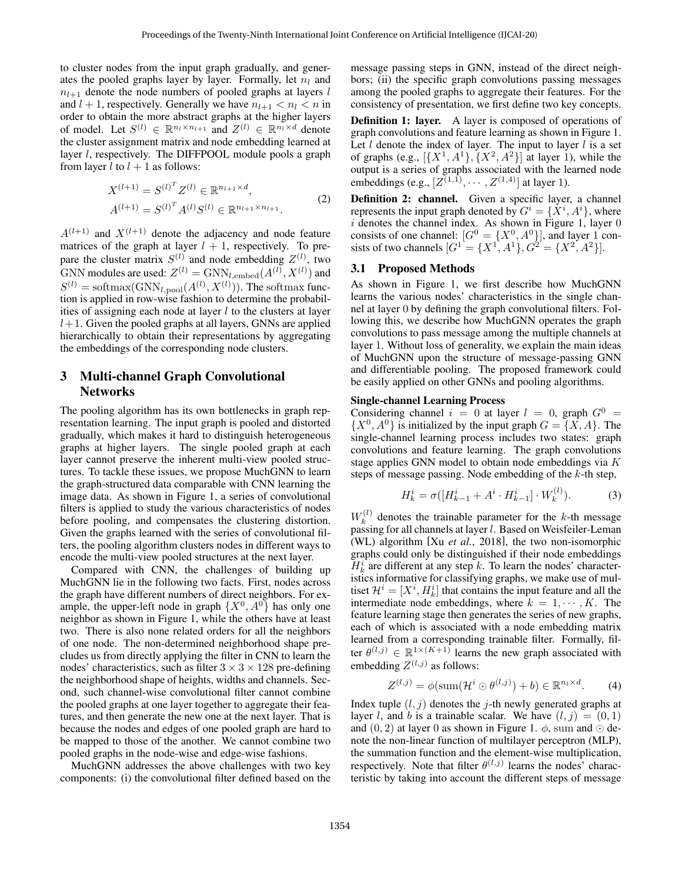to cluster nodes from the input graph gradually, and generates the pooled graphs layer by layer. Formally, let  $n_l$  and  $n_{l+1}$  denote the node numbers of pooled graphs at layers l and  $l + 1$ , respectively. Generally we have  $n_{l+1} < n_l < n$  in order to obtain the more abstract graphs at the higher layers of model. Let  $S^{(l)} \in \mathbb{R}^{n_l \times n_{l+1}}$  and  $Z^{(l)} \in \mathbb{R}^{n_l \times d}$  denote the cluster assignment matrix and node embedding learned at layer *l*, respectively. The DIFFPOOL module pools a graph from layer l to  $l + 1$  as follows:

$$
X^{(l+1)} = S^{(l)^T} Z^{(l)} \in \mathbb{R}^{n_{l+1} \times d},
$$
  
\n
$$
A^{(l+1)} = S^{(l)^T} A^{(l)} S^{(l)} \in \mathbb{R}^{n_{l+1} \times n_{l+1}}.
$$
\n(2)

 $A^{(l+1)}$  and  $X^{(l+1)}$  denote the adjacency and node feature matrices of the graph at layer  $l + 1$ , respectively. To prepare the cluster matrix  $S^{(l)}$  and node embedding  $Z^{(l)}$ , two GNN modules are used:  $Z^{(l)} = \text{GNN}_{l,\text{embed}}(A^{(l)}, X^{(l)})$  and  $S^{(l)} = \text{softmax}(\text{GNN}_{l,\text{pool}}(A^{(l)}, X^{(l)}))$ . The softmax function is applied in row-wise fashion to determine the probabilities of assigning each node at layer  $l$  to the clusters at layer  $l+1$ . Given the pooled graphs at all layers, GNNs are applied hierarchically to obtain their representations by aggregating the embeddings of the corresponding node clusters.

# 3 Multi-channel Graph Convolutional **Networks**

The pooling algorithm has its own bottlenecks in graph representation learning. The input graph is pooled and distorted gradually, which makes it hard to distinguish heterogeneous graphs at higher layers. The single pooled graph at each layer cannot preserve the inherent multi-view pooled structures. To tackle these issues, we propose MuchGNN to learn the graph-structured data comparable with CNN learning the image data. As shown in Figure 1, a series of convolutional filters is applied to study the various characteristics of nodes before pooling, and compensates the clustering distortion. Given the graphs learned with the series of convolutional filters, the pooling algorithm clusters nodes in different ways to encode the multi-view pooled structures at the next layer.

Compared with CNN, the challenges of building up MuchGNN lie in the following two facts. First, nodes across the graph have different numbers of direct neighbors. For example, the upper-left node in graph  $\{X^0, A^0\}$  has only one neighbor as shown in Figure 1, while the others have at least two. There is also none related orders for all the neighbors of one node. The non-determined neighborhood shape precludes us from directly applying the filter in CNN to learn the nodes' characteristics, such as filter  $3 \times 3 \times 128$  pre-defining the neighborhood shape of heights, widths and channels. Second, such channel-wise convolutional filter cannot combine the pooled graphs at one layer together to aggregate their features, and then generate the new one at the next layer. That is because the nodes and edges of one pooled graph are hard to be mapped to those of the another. We cannot combine two pooled graphs in the node-wise and edge-wise fashions.

MuchGNN addresses the above challenges with two key components: (i) the convolutional filter defined based on the message passing steps in GNN, instead of the direct neighbors; (ii) the specific graph convolutions passing messages among the pooled graphs to aggregate their features. For the consistency of presentation, we first define two key concepts.

**Definition 1: layer.** A layer is composed of operations of graph convolutions and feature learning as shown in Figure 1. Let  $l$  denote the index of layer. The input to layer  $l$  is a set of graphs (e.g.,  $[\{X^1, A^1\}, \{X^2, A^2\}]$  at layer 1), while the output is a series of graphs associated with the learned node embeddings (e.g.,  $[Z^{(1,1)}, \cdots, Z^{(1,4)}]$  at layer 1).

Definition 2: channel. Given a specific layer, a channel represents the input graph denoted by  $G^i = \{X^i, A^i\}$ , where  $i$  denotes the channel index. As shown in Figure 1, layer  $0$ consists of one channel:  $[G^0 = \{X^0, A^0\}]$ , and layer 1 consists of two channels  $[G^1 = {X^1, A^1}, G^2 = {X^2, A^2}.$ 

#### 3.1 Proposed Methods

As shown in Figure 1, we first describe how MuchGNN learns the various nodes' characteristics in the single channel at layer 0 by defining the graph convolutional filters. Following this, we describe how MuchGNN operates the graph convolutions to pass message among the multiple channels at layer 1. Without loss of generality, we explain the main ideas of MuchGNN upon the structure of message-passing GNN and differentiable pooling. The proposed framework could be easily applied on other GNNs and pooling algorithms.

#### Single-channel Learning Process

Considering channel  $i = 0$  at layer  $l = 0$ , graph  $G^0 =$  $\{X^0, A^0\}$  is initialized by the input graph  $G = \{X, A\}$ . The single-channel learning process includes two states: graph convolutions and feature learning. The graph convolutions stage applies GNN model to obtain node embeddings via K steps of message passing. Node embedding of the  $k$ -th step,

$$
H_k^i = \sigma([H_{k-1}^i + A^i \cdot H_{k-1}^i] \cdot W_k^{(l)}).
$$
 (3)

 $W_k^{(l)}$  $k<sup>(t)</sup>$  denotes the trainable parameter for the k-th message passing for all channels at layer l. Based on Weisfeiler-Leman (WL) algorithm [Xu *et al.*, 2018], the two non-isomorphic graphs could only be distinguished if their node embeddings  $H_k^i$  are different at any step k. To learn the nodes' characteristics informative for classifying graphs, we make use of multiset  $\mathcal{H}^i = [X^i, H^i_k]$  that contains the input feature and all the intermediate node embeddings, where  $k = 1, \dots, K$ . The feature learning stage then generates the series of new graphs, each of which is associated with a node embedding matrix learned from a corresponding trainable filter. Formally, filter  $\theta^{(l,j)} \in \mathbb{R}^{1 \times (K+1)}$  learns the new graph associated with embedding  $Z^{(l,j)}$  as follows:

$$
Z^{(l,j)} = \phi(\operatorname{sum}(\mathcal{H}^i \odot \theta^{(l,j)}) + b) \in \mathbb{R}^{n_l \times d}.
$$
 (4)

Index tuple  $(l, j)$  denotes the j-th newly generated graphs at layer l, and b is a trainable scalar. We have  $(l, j) = (0, 1)$ and  $(0, 2)$  at layer 0 as shown in Figure 1.  $\phi$ , sum and  $\odot$  denote the non-linear function of multilayer perceptron (MLP), the summation function and the element-wise multiplication, respectively. Note that filter  $\theta^{(l,j)}$  learns the nodes' characteristic by taking into account the different steps of message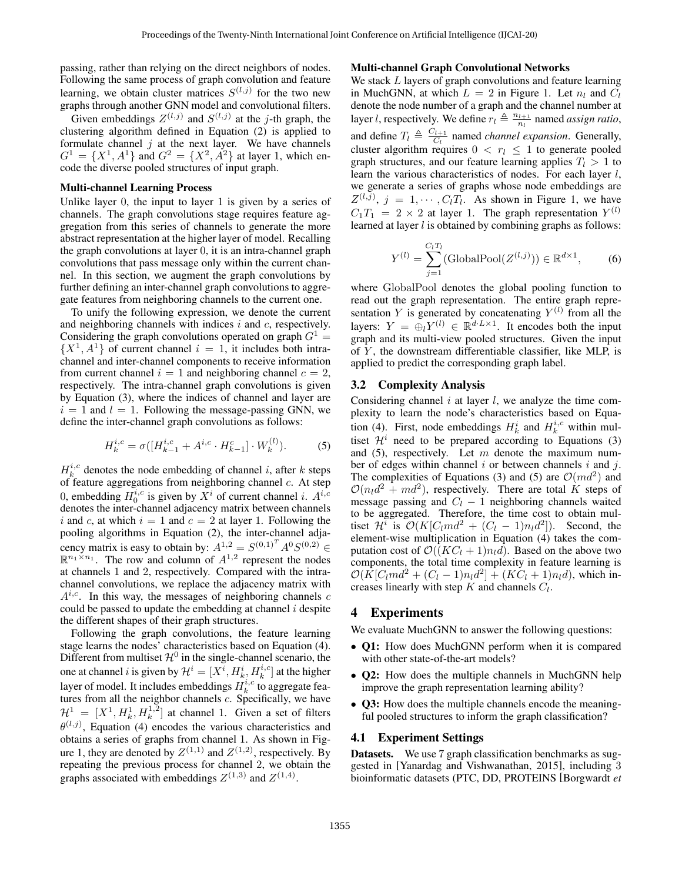passing, rather than relying on the direct neighbors of nodes. Following the same process of graph convolution and feature learning, we obtain cluster matrices  $S^{(l,j)}$  for the two new graphs through another GNN model and convolutional filters.

Given embeddings  $Z^{(l,j)}$  and  $S^{(l,j)}$  at the j-th graph, the clustering algorithm defined in Equation (2) is applied to formulate channel  $j$  at the next layer. We have channels  $G^1 = \{X^1, A^1\}$  and  $G^2 = \{X^2, A^2\}$  at layer 1, which encode the diverse pooled structures of input graph.

#### Multi-channel Learning Process

Unlike layer 0, the input to layer 1 is given by a series of channels. The graph convolutions stage requires feature aggregation from this series of channels to generate the more abstract representation at the higher layer of model. Recalling the graph convolutions at layer 0, it is an intra-channel graph convolutions that pass message only within the current channel. In this section, we augment the graph convolutions by further defining an inter-channel graph convolutions to aggregate features from neighboring channels to the current one.

To unify the following expression, we denote the current and neighboring channels with indices  $i$  and  $c$ , respectively. Considering the graph convolutions operated on graph  $G^1$  =  $\{X^1, A^1\}$  of current channel  $i = 1$ , it includes both intrachannel and inter-channel components to receive information from current channel  $i = 1$  and neighboring channel  $c = 2$ , respectively. The intra-channel graph convolutions is given by Equation (3), where the indices of channel and layer are  $i = 1$  and  $l = 1$ . Following the message-passing GNN, we define the inter-channel graph convolutions as follows:

$$
H_k^{i,c} = \sigma([H_{k-1}^{i,c} + A^{i,c} \cdot H_{k-1}^c] \cdot W_k^{(l)}).
$$
 (5)

 $H_k^{i,c}$  denotes the node embedding of channel i, after k steps of feature aggregations from neighboring channel  $c$ . At step 0, embedding  $H_0^{i,c}$  is given by  $X^i$  of current channel i.  $A^{i,c}$ denotes the inter-channel adjacency matrix between channels i and c, at which  $i = 1$  and  $c = 2$  at layer 1. Following the pooling algorithms in Equation (2), the inter-channel adjacency matrix is easy to obtain by:  $A^{1,2} = S^{(0,1)^T} A^0 S^{(0,2)}$  $\mathbb{R}^{n_1 \times n_1}$ . The row and column of  $A^{1,2}$  represent the nodes at channels 1 and 2, respectively. Compared with the intrachannel convolutions, we replace the adjacency matrix with  $A^{i,c}$ . In this way, the messages of neighboring channels c could be passed to update the embedding at channel  $i$  despite the different shapes of their graph structures.

Following the graph convolutions, the feature learning stage learns the nodes' characteristics based on Equation (4). Different from multiset  $\mathcal{H}^0$  in the single-channel scenario, the one at channel i is given by  $\mathcal{H}^i = [X^{\overline{i}}, H^i_k, H^{i,c}_k]$  at the higher layer of model. It includes embeddings  $H_k^{i,c}$  to aggregate features from all the neighbor channels  $c$ . Specifically, we have  $\mathcal{H}^1 = [X^1, H_k^1, H_k^{1,2}]$  at channel 1. Given a set of filters  $\theta^{(l,j)}$ , Equation (4) encodes the various characteristics and obtains a series of graphs from channel 1. As shown in Figure 1, they are denoted by  $Z^{(1,1)}$  and  $Z^{(1,2)}$ , respectively. By repeating the previous process for channel 2, we obtain the graphs associated with embeddings  $Z^{(1,3)}$  and  $Z^{(1,4)}$ .

#### Multi-channel Graph Convolutional Networks

We stack L layers of graph convolutions and feature learning in MuchGNN, at which  $L = 2$  in Figure 1. Let  $n_l$  and  $C_l$ denote the node number of a graph and the channel number at layer *l*, respectively. We define  $r_l \triangleq \frac{n_{l+1}}{n_l}$  $\frac{n+1}{n}$  named *assign ratio*, and define  $T_l \triangleq \frac{C_{l+1}}{C_l}$  $\frac{C_l+1}{C_l}$  named *channel expansion*. Generally, cluster algorithm requires  $0 < r_l \leq 1$  to generate pooled graph structures, and our feature learning applies  $T_l > 1$  to learn the various characteristics of nodes. For each layer l, we generate a series of graphs whose node embeddings are  $Z^{(l,j)}$ ,  $j = 1, \cdots, C_l T_l$ . As shown in Figure 1, we have  $C_1T_1 = 2 \times 2$  at layer 1. The graph representation  $Y^{(l)}$ learned at layer  $l$  is obtained by combining graphs as follows:

$$
Y^{(l)} = \sum_{j=1}^{C_l T_l} (\text{GlobalPool}(Z^{(l,j)})) \in \mathbb{R}^{d \times 1},
$$
 (6)

where GlobalPool denotes the global pooling function to read out the graph representation. The entire graph representation Y is generated by concatenating  $Y^{(l)}$  from all the layers:  $Y = \bigoplus_l Y^{(l)} \in \mathbb{R}^{d \cdot L \times 1}$ . It encodes both the input graph and its multi-view pooled structures. Given the input of  $Y$ , the downstream differentiable classifier, like MLP, is applied to predict the corresponding graph label.

#### 3.2 Complexity Analysis

Considering channel  $i$  at layer  $l$ , we analyze the time complexity to learn the node's characteristics based on Equation (4). First, node embeddings  $H_k^i$  and  $H_k^{i,c}$  within multiset  $\mathcal{H}^i$  need to be prepared according to Equations (3) and (5), respectively. Let  $m$  denote the maximum number of edges within channel  $i$  or between channels  $i$  and  $j$ . The complexities of Equations (3) and (5) are  $\mathcal{O}(md^2)$  and  $\mathcal{O}(n_l d^2 + m d^2)$ , respectively. There are total K steps of message passing and  $C_l - 1$  neighboring channels waited to be aggregated. Therefore, the time cost to obtain multiset  $\mathcal{H}^i$  is  $\mathcal{O}(K[C_lmd^2 + (C_l - 1)n_l d^2])$ . Second, the element-wise multiplication in Equation (4) takes the computation cost of  $\mathcal{O}((KC_l + 1)n_l d)$ . Based on the above two components, the total time complexity in feature learning is  $\mathcal{O}(\hat{K}[C_lmd^2 + (C_l - 1)n_l d^2] + (KC_l + 1)n_l d)$ , which increases linearly with step  $K$  and channels  $C_l$ .

#### 4 Experiments

We evaluate MuchGNN to answer the following questions:

- **Q1:** How does MuchGNN perform when it is compared with other state-of-the-art models?
- **Q2:** How does the multiple channels in MuchGNN help improve the graph representation learning ability?
- Q3: How does the multiple channels encode the meaningful pooled structures to inform the graph classification?

#### 4.1 Experiment Settings

Datasets. We use 7 graph classification benchmarks as suggested in [Yanardag and Vishwanathan, 2015], including 3 bioinformatic datasets (PTC, DD, PROTEINS [Borgwardt *et*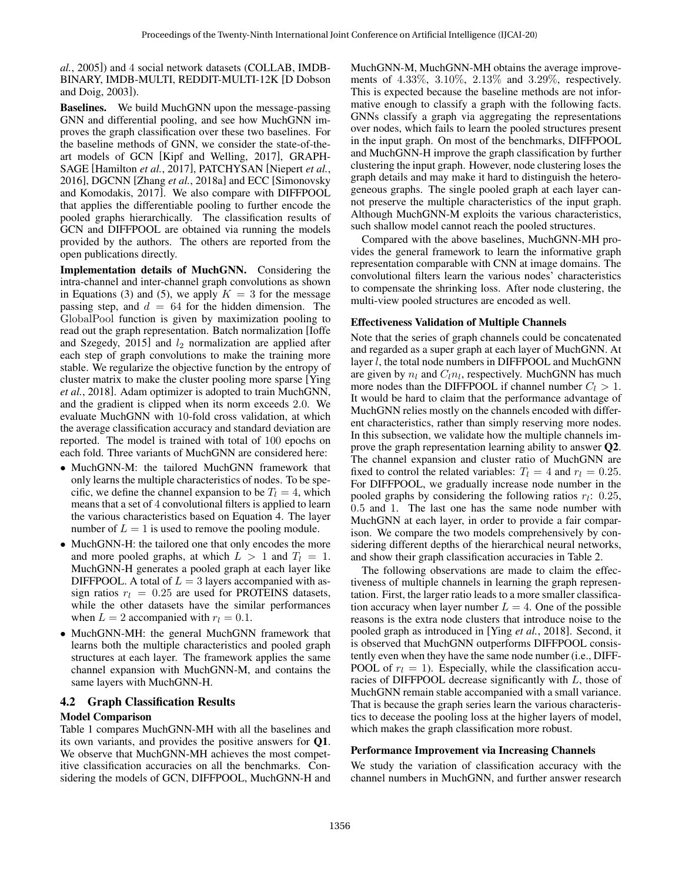*al.*, 2005]) and 4 social network datasets (COLLAB, IMDB-BINARY, IMDB-MULTI, REDDIT-MULTI-12K [D Dobson and Doig, 2003]).

Baselines. We build MuchGNN upon the message-passing GNN and differential pooling, and see how MuchGNN improves the graph classification over these two baselines. For the baseline methods of GNN, we consider the state-of-theart models of GCN [Kipf and Welling, 2017], GRAPH-SAGE [Hamilton *et al.*, 2017], PATCHYSAN [Niepert *et al.*, 2016], DGCNN [Zhang *et al.*, 2018a] and ECC [Simonovsky and Komodakis, 2017]. We also compare with DIFFPOOL that applies the differentiable pooling to further encode the pooled graphs hierarchically. The classification results of GCN and DIFFPOOL are obtained via running the models provided by the authors. The others are reported from the open publications directly.

Implementation details of MuchGNN. Considering the intra-channel and inter-channel graph convolutions as shown in Equations (3) and (5), we apply  $K = 3$  for the message passing step, and  $d = 64$  for the hidden dimension. The GlobalPool function is given by maximization pooling to read out the graph representation. Batch normalization [Ioffe and Szegedy, 2015] and  $l_2$  normalization are applied after each step of graph convolutions to make the training more stable. We regularize the objective function by the entropy of cluster matrix to make the cluster pooling more sparse [Ying *et al.*, 2018]. Adam optimizer is adopted to train MuchGNN, and the gradient is clipped when its norm exceeds 2.0. We evaluate MuchGNN with 10-fold cross validation, at which the average classification accuracy and standard deviation are reported. The model is trained with total of 100 epochs on each fold. Three variants of MuchGNN are considered here:

- MuchGNN-M: the tailored MuchGNN framework that only learns the multiple characteristics of nodes. To be specific, we define the channel expansion to be  $T<sub>l</sub> = 4$ , which means that a set of 4 convolutional filters is applied to learn the various characteristics based on Equation 4. The layer number of  $L = 1$  is used to remove the pooling module.
- MuchGNN-H: the tailored one that only encodes the more and more pooled graphs, at which  $L > 1$  and  $T_l = 1$ . MuchGNN-H generates a pooled graph at each layer like DIFFPOOL. A total of  $L = 3$  layers accompanied with assign ratios  $r_l = 0.25$  are used for PROTEINS datasets, while the other datasets have the similar performances when  $L = 2$  accompanied with  $r_l = 0.1$ .
- MuchGNN-MH: the general MuchGNN framework that learns both the multiple characteristics and pooled graph structures at each layer. The framework applies the same channel expansion with MuchGNN-M, and contains the same layers with MuchGNN-H.

### 4.2 Graph Classification Results

#### Model Comparison

Table 1 compares MuchGNN-MH with all the baselines and its own variants, and provides the positive answers for Q1. We observe that MuchGNN-MH achieves the most competitive classification accuracies on all the benchmarks. Considering the models of GCN, DIFFPOOL, MuchGNN-H and MuchGNN-M, MuchGNN-MH obtains the average improvements of 4.33%, 3.10%, 2.13% and 3.29%, respectively. This is expected because the baseline methods are not informative enough to classify a graph with the following facts. GNNs classify a graph via aggregating the representations over nodes, which fails to learn the pooled structures present in the input graph. On most of the benchmarks, DIFFPOOL and MuchGNN-H improve the graph classification by further clustering the input graph. However, node clustering loses the graph details and may make it hard to distinguish the heterogeneous graphs. The single pooled graph at each layer cannot preserve the multiple characteristics of the input graph. Although MuchGNN-M exploits the various characteristics, such shallow model cannot reach the pooled structures.

Compared with the above baselines, MuchGNN-MH provides the general framework to learn the informative graph representation comparable with CNN at image domains. The convolutional filters learn the various nodes' characteristics to compensate the shrinking loss. After node clustering, the multi-view pooled structures are encoded as well.

#### Effectiveness Validation of Multiple Channels

Note that the series of graph channels could be concatenated and regarded as a super graph at each layer of MuchGNN. At layer  $l$ , the total node numbers in DIFFPOOL and MuchGNN are given by  $n_l$  and  $C_l n_l$ , respectively. MuchGNN has much more nodes than the DIFFPOOL if channel number  $C_l > 1$ . It would be hard to claim that the performance advantage of MuchGNN relies mostly on the channels encoded with different characteristics, rather than simply reserving more nodes. In this subsection, we validate how the multiple channels improve the graph representation learning ability to answer Q2. The channel expansion and cluster ratio of MuchGNN are fixed to control the related variables:  $T_l = 4$  and  $r_l = 0.25$ . For DIFFPOOL, we gradually increase node number in the pooled graphs by considering the following ratios  $r_l$ : 0.25, 0.5 and 1. The last one has the same node number with MuchGNN at each layer, in order to provide a fair comparison. We compare the two models comprehensively by considering different depths of the hierarchical neural networks, and show their graph classification accuracies in Table 2.

The following observations are made to claim the effectiveness of multiple channels in learning the graph representation. First, the larger ratio leads to a more smaller classification accuracy when layer number  $L = 4$ . One of the possible reasons is the extra node clusters that introduce noise to the pooled graph as introduced in [Ying *et al.*, 2018]. Second, it is observed that MuchGNN outperforms DIFFPOOL consistently even when they have the same node number (i.e., DIFF-POOL of  $r_l = 1$ ). Especially, while the classification accuracies of DIFFPOOL decrease significantly with  $L$ , those of MuchGNN remain stable accompanied with a small variance. That is because the graph series learn the various characteristics to decease the pooling loss at the higher layers of model, which makes the graph classification more robust.

#### Performance Improvement via Increasing Channels

We study the variation of classification accuracy with the channel numbers in MuchGNN, and further answer research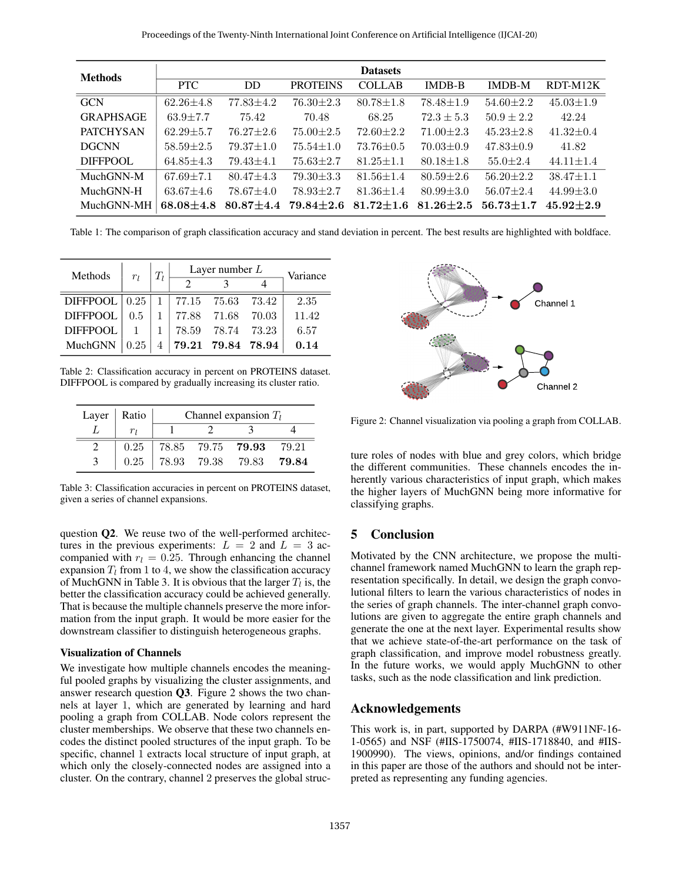| <b>Methods</b>   | <b>Datasets</b> |                 |                 |                 |                 |                 |                 |  |
|------------------|-----------------|-----------------|-----------------|-----------------|-----------------|-----------------|-----------------|--|
|                  | <b>PTC</b>      | <b>DD</b>       | <b>PROTEINS</b> | <b>COLLAB</b>   | <b>IMDB-B</b>   | <b>IMDB-M</b>   | RDT-M12K        |  |
| <b>GCN</b>       | $62.26 + 4.8$   | $77.83 + 4.2$   | $76.30 \pm 2.3$ | $80.78 \pm 1.8$ | $78.48 \pm 1.9$ | $54.60 \pm 2.2$ | $45.03 \pm 1.9$ |  |
| <b>GRAPHSAGE</b> | $63.9 \pm 7.7$  | 75.42           | 70.48           | 68.25           | $72.3 \pm 5.3$  | $50.9 \pm 2.2$  | 42.24           |  |
| <b>PATCHYSAN</b> | $62.29 + 5.7$   | $76.27 \pm 2.6$ | $75.00 \pm 2.5$ | $72.60 \pm 2.2$ | $71.00 \pm 2.3$ | $45.23 \pm 2.8$ | $41.32 \pm 0.4$ |  |
| <b>DGCNN</b>     | $58.59 \pm 2.5$ | $79.37 \pm 1.0$ | $75.54 \pm 1.0$ | $73.76 \pm 0.5$ | $70.03 \pm 0.9$ | $47.83 \pm 0.9$ | 41.82           |  |
| <b>DIFFPOOL</b>  | $64.85 \pm 4.3$ | $79.43 \pm 4.1$ | $75.63 \pm 2.7$ | $81.25 \pm 1.1$ | $80.18 \pm 1.8$ | $55.0 \pm 2.4$  | $44.11 \pm 1.4$ |  |
| MuchGNN-M        | $67.69 \pm 7.1$ | $80.47 \pm 4.3$ | $79.30 \pm 3.3$ | $81.56 \pm 1.4$ | $80.59 \pm 2.6$ | $56.20 \pm 2.2$ | $38.47 \pm 1.1$ |  |
| MuchGNN-H        | $63.67 \pm 4.6$ | $78.67 \pm 4.0$ | $78.93 \pm 2.7$ | $81.36 \pm 1.4$ | $80.99 \pm 3.0$ | $56.07 \pm 2.4$ | $44.99 \pm 3.0$ |  |
| MuchGNN-MH       | $68.08 + 4.8$   | $80.87 + 4.4$   | $79.84 + 2.6$   | $81.72 + 1.6$   | $81.26 + 2.5$   | $56.73 + 1.7$   | $45.92 + 2.9$   |  |

Table 1: The comparison of graph classification accuracy and stand deviation in percent. The best results are highlighted with boldface.

| Methods                                 | $r_l$         | $T_l$ | Layer number $L$ | Variance          |  |       |
|-----------------------------------------|---------------|-------|------------------|-------------------|--|-------|
|                                         |               |       |                  |                   |  |       |
| DIFFPOOL   0.25   1   77.15 75.63 73.42 |               |       |                  |                   |  | 2.35  |
| <b>DIFFPOOL</b>                         | $0.5^{\circ}$ |       |                  |                   |  | 11.42 |
| <b>DIFFPOOL</b>                         |               |       |                  | 78.59 78.74 73.23 |  | 6.57  |
| MuchGNN                                 | 0.25          |       |                  | 79.21 79.84 78.94 |  | 0.14  |

Table 2: Classification accuracy in percent on PROTEINS dataset. DIFFPOOL is compared by gradually increasing its cluster ratio.

| Layer   Ratio | Channel expansion $T_l$ |  |                                                                                |       |  |  |  |
|---------------|-------------------------|--|--------------------------------------------------------------------------------|-------|--|--|--|
|               |                         |  |                                                                                |       |  |  |  |
| 0.25          |                         |  | 78.85 79.75 79.93 79.21                                                        |       |  |  |  |
| 0.25          |                         |  | $\begin{array}{ c c c c c } \hline 78.93 & 79.38 & 79.83 \ \hline \end{array}$ | 79.84 |  |  |  |

Table 3: Classification accuracies in percent on PROTEINS dataset, given a series of channel expansions.

question Q2. We reuse two of the well-performed architectures in the previous experiments:  $L = 2$  and  $L = 3$  accompanied with  $r_l = 0.25$ . Through enhancing the channel expansion  $T_l$  from 1 to 4, we show the classification accuracy of MuchGNN in Table 3. It is obvious that the larger  $T_l$  is, the better the classification accuracy could be achieved generally. That is because the multiple channels preserve the more information from the input graph. It would be more easier for the downstream classifier to distinguish heterogeneous graphs.

#### Visualization of Channels

We investigate how multiple channels encodes the meaningful pooled graphs by visualizing the cluster assignments, and answer research question Q3. Figure 2 shows the two channels at layer 1, which are generated by learning and hard pooling a graph from COLLAB. Node colors represent the cluster memberships. We observe that these two channels encodes the distinct pooled structures of the input graph. To be specific, channel 1 extracts local structure of input graph, at which only the closely-connected nodes are assigned into a cluster. On the contrary, channel 2 preserves the global struc-



Figure 2: Channel visualization via pooling a graph from COLLAB.

ture roles of nodes with blue and grey colors, which bridge the different communities. These channels encodes the inherently various characteristics of input graph, which makes the higher layers of MuchGNN being more informative for classifying graphs.

## 5 Conclusion

Motivated by the CNN architecture, we propose the multichannel framework named MuchGNN to learn the graph representation specifically. In detail, we design the graph convolutional filters to learn the various characteristics of nodes in the series of graph channels. The inter-channel graph convolutions are given to aggregate the entire graph channels and generate the one at the next layer. Experimental results show that we achieve state-of-the-art performance on the task of graph classification, and improve model robustness greatly. In the future works, we would apply MuchGNN to other tasks, such as the node classification and link prediction.

#### Acknowledgements

This work is, in part, supported by DARPA (#W911NF-16- 1-0565) and NSF (#IIS-1750074, #IIS-1718840, and #IIS-1900990). The views, opinions, and/or findings contained in this paper are those of the authors and should not be interpreted as representing any funding agencies.